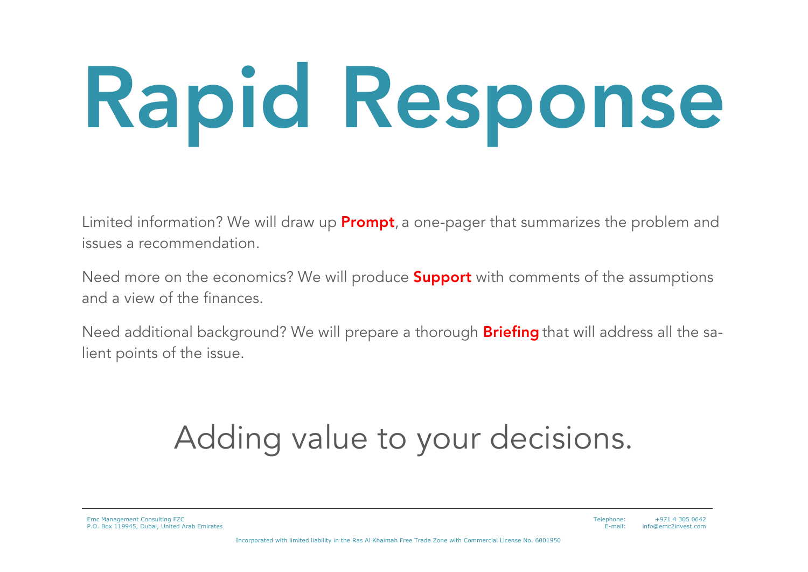# Rapid Response

Limited information? We will draw up **Prompt**, a one-pager that summarizes the problem and issues a recommendation.

Need more on the economics? We will produce **Support** with comments of the assumptions and a view of the finances.

Need additional background? We will prepare a thorough **Briefing** that will address all the salient points of the issue.

#### Adding value to your decisions.

Emc Management Consulting FZC P.O. Box 119945, Dubai, United Arab Emirates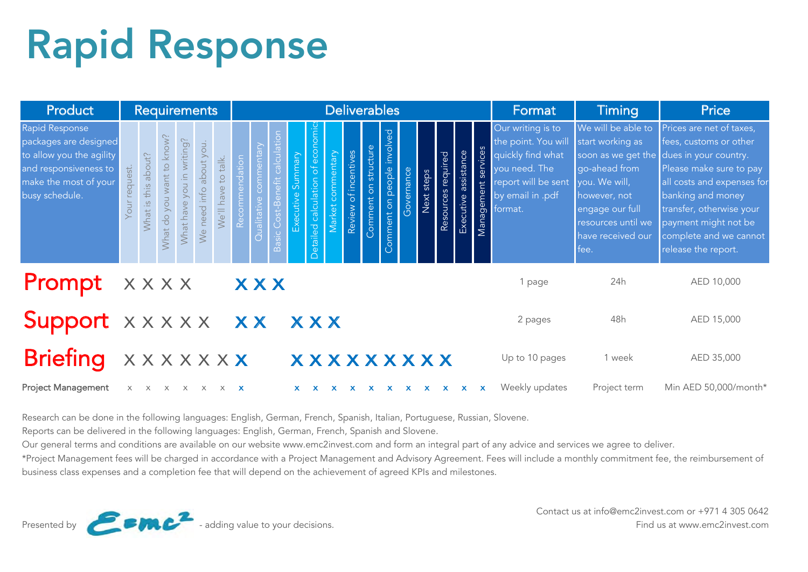## Rapid Response

| Product                                                                                                                                 | <b>Requirements</b>             |                                    |                              |                           |                         |                     |                |                                |                                  |                      |                                |                   |                      |                      | <b>Deliverables</b>          |              |              |                    | Format               | <b>Timing</b>          | <b>Price</b>                                                                                                                         |                                                                                                                                                                                      |                                                                                                                                                                                                                                                                |
|-----------------------------------------------------------------------------------------------------------------------------------------|---------------------------------|------------------------------------|------------------------------|---------------------------|-------------------------|---------------------|----------------|--------------------------------|----------------------------------|----------------------|--------------------------------|-------------------|----------------------|----------------------|------------------------------|--------------|--------------|--------------------|----------------------|------------------------|--------------------------------------------------------------------------------------------------------------------------------------|--------------------------------------------------------------------------------------------------------------------------------------------------------------------------------------|----------------------------------------------------------------------------------------------------------------------------------------------------------------------------------------------------------------------------------------------------------------|
| Rapid Response<br>packages are designed<br>to allow you the agility<br>and responsiveness to<br>make the most of your<br>busy schedule. | quest.<br>$\overline{6}$<br>uoy | about?<br>$\frac{1}{2}$<br>What is | you want to know?<br>What do | What have you in writing? | We need info about you. | We'll have to talk. | Recommendation | $\overline{\sigma}$<br>$\circ$ | calculatio<br>Basic Cost-Benefit | Summary<br>Executive | etailed calculation of economi | Market commentary | Review of incentives | Comment on structure | involved<br>omment on people | Governance   | Next steps   | Resources required | Executive assistance | services<br>Management | Our writing is to<br>the point. You will<br>quickly find what<br>you need. The<br>report will be sent<br>by email in .pdf<br>format. | We will be able to<br>start working as<br>soon as we get the<br>go-ahead from<br>you. We will,<br>however, not<br>engage our full<br>resources until we<br>have received our<br>fee. | Prices are net of taxes,<br>fees, customs or other<br>dues in your country.<br>Please make sure to pay<br>all costs and expenses for<br>banking and money<br>transfer, otherwise your<br>payment might not be<br>complete and we cannot<br>release the report. |
| <b>Prompt</b> $x \times x \times x$                                                                                                     |                                 |                                    |                              |                           |                         |                     |                | <b>XXX</b>                     |                                  |                      |                                |                   |                      |                      |                              |              |              |                    |                      |                        | 1 page                                                                                                                               | 24h                                                                                                                                                                                  | AED 10,000                                                                                                                                                                                                                                                     |
| Support x x x x x x x x x x x                                                                                                           |                                 |                                    |                              |                           |                         |                     |                |                                |                                  |                      |                                |                   |                      |                      |                              |              |              |                    |                      |                        | 2 pages                                                                                                                              | 48h                                                                                                                                                                                  | AED 15,000                                                                                                                                                                                                                                                     |
| Briefing xxxxxxx                                                                                                                        |                                 |                                    |                              |                           |                         |                     |                |                                |                                  |                      |                                |                   |                      |                      | <b>XXXXXXXXX</b>             |              |              |                    |                      |                        | Up to 10 pages                                                                                                                       | 1 week                                                                                                                                                                               | AED 35,000                                                                                                                                                                                                                                                     |
| <b>Project Management</b>                                                                                                               |                                 | X X                                | $\times$                     |                           | X X X X                 |                     |                |                                |                                  | $\mathbf{x}$         | $\mathbf{x}$                   |                   | $X$ $X$              | $\mathbf{x}$         | $\mathbf{x}$                 | $\mathbf{x}$ | $\mathbf{X}$ | $\mathbf{x}$       | $\mathbf{x}$         | $\mathbf{x}$           | Weekly updates                                                                                                                       | Project term                                                                                                                                                                         | Min AED 50,000/month*                                                                                                                                                                                                                                          |

Research can be done in the following languages: English, German, French, Spanish, Italian, Portuguese, Russian, Slovene.

Reports can be delivered in the following languages: English, German, French, Spanish and Slovene.

Our general terms and conditions are available on our website www.emc2invest.com and form an integral part of any advice and services we agree to deliver.

\*Project Management fees will be charged in accordance with a Project Management and Advisory Agreement. Fees will include a monthly commitment fee, the reimbursement of business class expenses and a completion fee that will depend on the achievement of agreed KPIs and milestones.

Contact us at info@emc2invest.com or +971 4 305 0642